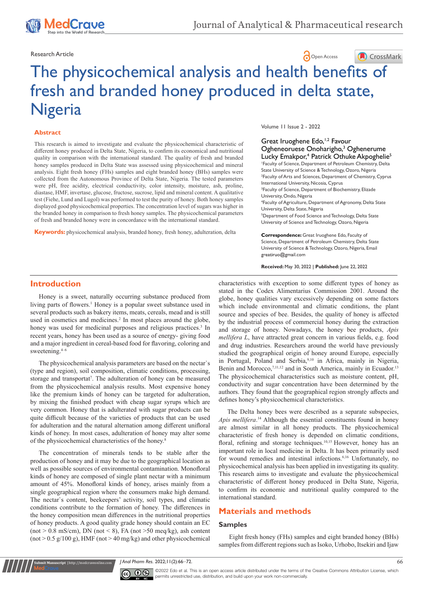

Research Article **Contract Article** Open Access **Contract Article** 

## CrossMark

# The physicochemical analysis and health bene[fits of](https://crossmark.crossref.org/dialog/?doi=10.15406/japlr.2022.11.00403&domain=pdf)  fresh and branded honey produced in delta state, Nigeria

#### **Abstract**

This research is aimed to investigate and evaluate the physicochemical characteristic of different honey produced in Delta State, Nigeria, to confirm its economical and nutritional quality in comparison with the international standard. The quality of fresh and branded honey samples produced in Delta State was assessed using physicochemical and mineral analysis. Eight fresh honey (FHs) samples and eight branded honey (BHs) samples were collected from the Autonomous Province of Delta State, Nigeria. The tested parameters were pH, free acidity, electrical conductivity, color intensity, moisture, ash, proline, diastase, HMF, invertase, glucose, fructose, sucrose, lipid and mineral content. A qualitative test (Fiehe, Lund and Lugol) was performed to test the purity of honey. Both honey samples displayed good physicochemical properties. The concentration level of sugars was higher in the branded honey in comparison to fresh honey samples. The physicochemical parameters of fresh and branded honey were in concordance with the international standard.

**Keywords:** physicochemical analysis, branded honey, fresh honey, adulteration, delta

Volume 11 Issue 2 - 2022

Great Iruoghene Edo,<sup>1,2</sup> Favour Ogheneoruese Onoharigho,<sup>3</sup> Oghenerume Lucky Emakpor,<sup>4</sup> Patrick Othuke Akpoghelie<sup>5</sup> 1 Faculty of Science, Department of Petroleum Chemistry, Delta State University of Science & Technology, Ozoro, Nigeria <sup>2</sup> Faculty of Arts and Sciences, Department of Chemistry, Cyprus International University, Nicosia, Cyprus <sup>3</sup>Faculty of Science, Department of Biochemistry, Elizade University, Ondo, Nigeria 4 Faculty of Agriculture, Department of Agronomy, Delta State University, Delta State, Nigeria 5 Department of Food Science and Technology, Delta State University of Science and Technology, Ozoro, Nigeria **Correspondence:** Great Iruoghene Edo, Faculty of

Science, Department of Petroleum Chemistry, Delta State University of Science & Technology, Ozoro, Nigeria, Email<br>greatiruo@gmail.com

**Received:** May 30, 2022 | **Published:** June 22, 2022

## **Introduction**

Honey is a sweet, naturally occurring substance produced from living parts of flowers.<sup>1</sup> Honey is a popular sweet substance used in several products such as bakery items, meats, cereals, mead and is still used in cosmetics and medicines.<sup>2</sup> In most places around the globe, honey was used for medicinal purposes and religious practices.<sup>3</sup> In recent years, honey has been used as a source of energy- giving food and a major ingredient in cereal-based food for flavoring, coloring and sweetening. $4-6$ 

The physicochemical analysis parameters are based on the nectar`s (type and region), soil composition, climatic conditions, processing, storage and transportat<sup>7</sup>. The adulteration of honey can be measured from the physicochemical analysis results. Most expensive honey like the premium kinds of honey can be targeted for adulteration, by mixing the finished product with cheap sugar syrups which are very common. Honey that is adulterated with sugar products can be quite difficult because of the varieties of products that can be used for adulteration and the natural alternation among different unifloral kinds of honey. In most cases, adulteration of honey may alter some of the physicochemical characteristics of the honey.<sup>8</sup>

The concentration of minerals tends to be stable after the production of honey and it may be due to the geographical location as well as possible sources of environmental contamination. Monofloral kinds of honey are composed of single plant nectar with a minimum amount of 45%. Monofloral kinds of honey, arises mainly from a single geographical region where the consumers make high demand. The nectar`s content, beekeepers' activity, soil types, and climatic conditions contribute to the formation of honey. The differences in the honey composition mean differences in the nutritional properties of honey products. A good quality grade honey should contain an EC (not  $> 0.8$  mS/cm), DN (not  $< 8$ ), FA (not  $> 50$  meq/kg), ash content (not  $> 0.5$  g/100 g), HMF (not  $> 40$  mg/kg) and other physicochemical

**nit Manuscript** | http://medcraveonline.co

characteristics with exception to some different types of honey as stated in the Codex Alimentarius Commission 2001. Around the globe, honey qualities vary excessively depending on some factors which include environmental and climatic conditions, the plant source and species of bee. Besides, the quality of honey is affected by the industrial process of commercial honey during the extraction and storage of honey. Nowadays, the honey bee products, *[Apis](https://www.sciencedirect.com/topics/agricultural-and-biological-sciences/apis-mellifera)  [mellifera](https://www.sciencedirect.com/topics/agricultural-and-biological-sciences/apis-mellifera) L*, have attracted great concern in various fields, e.g. food and [drug industries](https://www.sciencedirect.com/topics/agricultural-and-biological-sciences/pharmaceutical-industry). Researchers around the world have previously studied the geographical origin of honey around Europe, especially in Portugal, Poland and Serbia,9,10 in Africa, mainly in Nigeria, Benin and Morocco,<sup>7,11,12</sup> and in South America, mainly in Ecuador.<sup>13</sup> The physicochemical characteristics such as moisture content, pH, conductivity and sugar concentration have been determined by the authors. They found that the geographical region strongly affects and defines honey's physicochemical characteristics.

The Delta honey bees were described as a separate subspecies, *Apis mellifera*. <sup>14</sup> Although the essential constituents found in honey are almost similar in all honey products. The physicochemical characteristic of fresh honey is depended on climatic conditions, floral, refining and storage techniques.<sup>10,15</sup> However, honey has an important role in local medicine in Delta. It has been primarily used for wound remedies and intestinal infections.<sup>6,16</sup> Unfortunately, no physicochemical analysis has been applied in investigating its quality. This research aims to investigate and evaluate the physicochemical characteristic of different honey produced in Delta State, Nigeria, to confirm its economic and nutritional quality compared to the international standard.

## **Materials and methods**

#### **Samples**

 Eight fresh honey (FHs) samples and eight branded honey (BHs) samples from different regions such as Isoko, Urhobo, Itsekiri and Ijaw

*J Anal Pharm Res.* 2022;11(2):66‒72. 66



©2022 Edo et al. This is an open access article distributed under the terms of the Creative Commons Attribution License, which permits unrestricted use, distribution, and build upon your work non-commercially.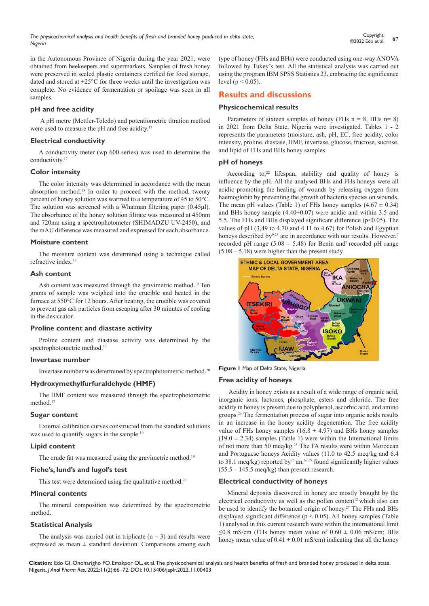in the Autonomous Province of Nigeria during the year 2021, were obtained from beekeepers and supermarkets. Samples of fresh honey were preserved in sealed plastic containers certified for food storage, dated and stored at  $\pm 25^{\circ}$ C for three weeks until the investigation was complete. No evidence of fermentation or spoilage was seen in all samples.

## **pH and free acidity**

 A pH metre (Mettler-Toledo) and potentiometric titration method were used to measure the pH and free acidity.<sup>17</sup>

## **Electrical conductivity**

A conductivity meter (wp 600 series) was used to determine the conductivity.<sup>17</sup>

## **Color intensity**

The color intensity was determined in accordance with the mean absorption method.<sup>18</sup> In order to proceed with the method, twenty percent of honey solution was warmed to a temperature of 45 to 50°C. The solution was screened with a Whatman filtering paper (0.45μl). The absorbance of the honey solution filtrate was measured at 450nm and 720nm using a spectrophotometer (SHIMADZU UV-2450), and the mAU difference was measured and expressed for each absorbance.

## **Moisture content**

The moisture content was determined using a technique called refractive index.<sup>17</sup>

## **Ash content**

Ash content was measured through the gravimetric method.<sup>19</sup> Ten grams of sample was weighed into the crucible and heated in the furnace at 550°C for 12 hours. After heating, the crucible was covered to prevent gas ash particles from escaping after 30 minutes of cooling in the desiccator.

## **Proline content and diastase activity**

Proline content and diastase activity was determined by the spectrophotometric method.<sup>17</sup>

## **Invertase number**

Invertase number was determined by spectrophotometric method.<sup>20</sup>

## **Hydroxymethylfurfuraldehyde (HMF)**

The HMF content was measured through the spectrophotometric method.<sup>17</sup>

## **Sugar content**

External calibration curves constructed from the standard solutions was used to quantify sugars in the sample.<sup>10</sup>

## **Lipid content**

The crude fat was measured using the gravimetric method.<sup>19</sup>

## **Fiehe's, lund's and lugol's test**

This test were determined using the qualitative method.<sup>21</sup>

## **Mineral contents**

The mineral composition was determined by the spectrometric method.

## **Statistical Analysis**

The analysis was carried out in triplicate  $(n = 3)$  and results were expressed as mean  $\pm$  standard deviation. Comparisons among each type of honey (FHs and BHs) were conducted using one-way ANOVA followed by Tukey's test. All the statistical analysis was carried out using the program IBM SPSS Statistics 23, embracing the significance level ( $p < 0.05$ ).

## **Results and discussions**

## **Physicochemical results**

Parameters of sixteen samples of honey (FHs  $n = 8$ , BHs  $n = 8$ ) in 2021 from Delta State, Nigeria were investigated. Tables 1 - 2 represents the parameters (moisture, ash, pH, EC, free acidity, color intensity, proline, diastase, HMF, invertase, glucose, fructose, sucrose, and lipid of FHs and BHs honey samples.

## **pH of honeys**

According to, $22$  lifespan, stability and quality of honey is influence by the pH. All the analysed BHs and FHs honeys were all acidic promoting the healing of wounds by releasing oxygen from haemoglobin by preventing the growth of bacteria species on wounds. The mean pH values (Table 1) of FHs honey samples  $(4.67 \pm 0.34)$ and BHs honey sample (4.40±0.07) were acidic and within 3.5 and 5.5. The FHs and BHs displayed significant difference ( $p$ <0.05). The values of pH (3,49 to 4.70 and 4.11 to 4.67) for Polish and Egyptian honeys described by<sup>9,23</sup> are in accordance with our results. However,<sup>7</sup> recorded pH range  $(5.08 - 5.48)$  for Benin and<sup>7</sup> recorded pH range  $(5.08 - 5.18)$  were higher than the present study.



**Figure 1** Map of Delta State, Nigeria.

## **Free acidity of honeys**

 Acidity in honey exists as a result of a wide range of organic acid, inorganic ions, lactones, phosphate, esters and chloride. The free acidity in honey is present due to polyphenol, ascorbic acid, and amino groups.24 The fermentation process of sugar into organic acids results in an increase in the honey acidity degeneration. The free acidity value of FHs honey samples (16.8  $\pm$  4.97) and BHs honey samples  $(19.0 \pm 2.34)$  samples (Table 1) were within the International limits of not more than 50 meq/kg.<sup>25</sup> The FA results were within Moroccan and Portuguese honeys Acidity values (11.0 to 42.5 meq/kg and 6.4 to 38.1 meq/kg) reported by<sup>26</sup> an.<sup>62,39</sup> found significantly higher values  $(55.5 - 145.5 \text{ meq/kg})$  than present research.

## **Electrical conductivity of honeys**

Mineral deposits discovered in honey are mostly brought by the electrical conductivity as well as the pollen content<sup>12</sup> which also can be used to identify the botanical origin of honey.<sup>27</sup> The FHs and BHs displayed significant difference ( $p < 0.05$ ). All honey samples (Table 1) analysed in this current research were within the international limit ≤0.8 mS/cm (FHs honey mean value of  $0.60 \pm 0.06$  mS/cm; BHs honey mean value of  $0.41 \pm 0.01$  mS/cm) indicating that all the honey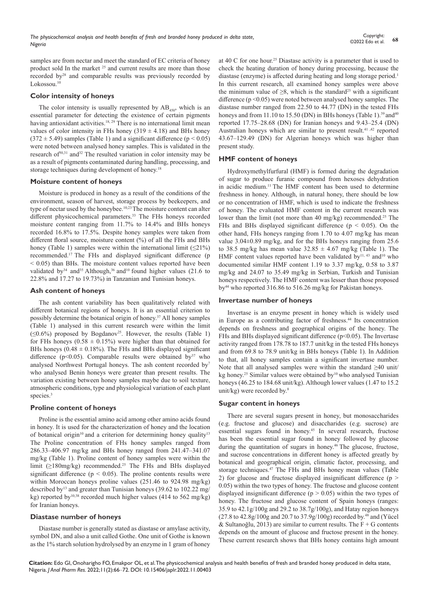samples are from nectar and meet the standard of EC criteria of honey product sold In the market <sup>25</sup> and current results are more than those recorded by28 and comparable results was previously recorded by Lokossou.<sup>10</sup>

## **Color intensity of honeys**

The color intensity is usually represented by  $AB_{450}$ , which is an essential parameter for detecting the existence of certain pigments having antioxidant activities.<sup>18, 29</sup> There is no international limit mean values of color intensity in FHs honey (319  $\pm$  4.18) and BHs honey  $(372 \pm 5.49)$  samples (Table 1) and a significant difference (p < 0.05) were noted between analysed honey samples. This is validated in the research of $30,31$  and  $32$  The resulted variation in color intensity may be as a result of pigments contaminated during handling, processing, and storage techniques during development of honey.<sup>18</sup>

#### **Moisture content of honeys**

Moisture is produced in honey as a result of the conditions of the environment, season of harvest, storage process by beekeepers, and type of nectar used by the honeybee.10,23 The moisture content can alter different physicochemical parameters.<sup>33</sup> The FHs honeys recorded moisture content ranging from 11.7% to 14.4% and BHs honeys recorded 16.8% to 17.5%. Despite honey samples were taken from different floral source, moisture content (%) of all the FHs and BHs honey (Table 1) samples were within the international limit  $(\leq 21\%)$ recommended.<sup>17</sup> The FHs and displayed significant difference (p  $<$  0.05) than BHs. The moisture content values reported have been validated by<sup>34</sup> and<sup>35</sup> Although,<sup>36</sup> and<sup>10</sup> found higher values (21.6 to 22.8% and 17.27 to 19.73%) in Tanzanian and Tunisian honeys.

#### **Ash content of honeys**

The ash content variability has been qualitatively related with different botanical regions of honeys. It is an essential criterion to possibly determine the botanical origin of honey.<sup>37</sup> All honey samples (Table 1) analysed in this current research were within the limit  $(\leq 0.6\%)$  proposed by Bogdanov<sup>25</sup>. However, the results (Table 1) for FHs honeys ( $0.58 \pm 0.15\%$ ) were higher than that obtained for BHs honeys ( $0.48 \pm 0.18\%$ ). The FHs and BHs displayed significant difference ( $p$ <0.05). Comparable results were obtained by<sup>37</sup> who analysed Northwest Portugal honeys. The ash content recorded by<sup>7</sup> who analysed Benin honeys were greater than present results. The variation existing between honey samples maybe due to soil texture, atmospheric conditions, type and physiological variation of each plant species.<sup>3</sup>

## **Proline content of honeys**

Proline is the essential amino acid among other amino acids found in honey. It is used for the characterization of honey and the location of botanical origin<sup>10</sup> and a criterion for determining honey quality<sup>13</sup> The Proline concentration of FHs honey samples ranged from 286.33–406.97 mg/kg and BHs honey ranged from 241.47–341.07 mg/kg (Table 1). Proline content of honey samples were within the limit (≥180mg/kg) recommended.<sup>25</sup> The FHs and BHs displayed significant difference ( $p < 0.05$ ). The proline contents results were within Moroccan honeys proline values (251.46 to 924.98 mg/kg) described by<sup>13</sup> and greater than Tunisian honeys (39.62 to 102.22 mg/ kg) reported by10,38 recorded much higher values (414 to 562 mg/kg) for Iranian honeys.

#### **Diastase number of honeys**

Diastase number is generally stated as diastase or amylase activity, symbol DN, and also a unit called Gothe. One unit of Gothe is known as the 1% starch solution hydrolysed by an enzyme in 1 gram of honey at 40 C for one hour.<sup>25</sup> Diastase activity is a parameter that is used to check the heating duration of honey during processing, because the diastase (enzyme) is affected during heating and long storage period.<sup>1</sup> In this current research, all examined honey samples were above the minimum value of  $\geq 8$ , which is the standard<sup>25</sup> with a significant difference ( $p \le 0.05$ ) were noted between analysed honey samples. The diastase number ranged from 22.50 to 44.77 (DN) in the tested FHs honeys and from  $11.10$  to  $15.50$  (DN) in BHs honeys (Table 1).<sup>39</sup> and<sup>40</sup> reported 17.75–28.68 (DN) for Iranian honeys and 9.43–25.4 (DN) Australian honeys which are similar to present result.<sup>41,42</sup> reported 43.67–129.49 (DN) for Algerian honeys which was higher than present study.

## **HMF content of honeys**

Hydroxymethylfurfural (HMF) is formed during the degradation of sugar to produce furanic compound from hexoses dehydration in acidic medium.<sup>11</sup> The HMF content has been used to determine freshness in honey. Although, in natural honey, there should be low or no concentration of HMF, which is used to indicate the freshness of honey. The evaluated HMF content in the current research was lower than the limit (not more than 40 mg/kg) recommended.<sup>25</sup> The FHs and BHs displayed significant difference ( $p < 0.05$ ). On the other hand, FHs honeys ranging from 1.70 to 4.07 mg/kg has mean value 3.04±0.89 mg/kg, and for the BHs honeys ranging from 25.6 to 38.5 mg/kg has mean value  $32.85 \pm 4.67$  mg/kg (Table 1). The HMF content values reported have been validated by<sup>11, 43</sup> and<sup>10</sup> who documented similar HMF content 1.19 to 3.37 mg/kg, 0.58 to 3.87 mg/kg and 24.07 to 35.49 mg/kg in Serbian, Turkish and Tunisian honeys respectively. The HMF content was lesser than those proposed by44 who reported 316.86 to 516.26 mg/kg for Pakistan honeys.

#### **Invertase number of honeys**

Invertase is an enzyme present in honey which is widely used in Europe as a contributing factor of freshness.44 Its concentration depends on freshness and geographical origins of the honey. The FHs and BHs displayed significant difference ( $p$ <0.05). The Invertase activity ranged from 178.78 to 187.7 unit/kg in the tested FHs honeys and from 69.8 to 78.9 unit/kg in BHs honeys (Table 1). In Addition to that, all honey samples contain a significant invertase number. Note that all analysed samples were within the standard ≥40 unit/ kg honey.<sup>25</sup> Similar values were obtained by<sup>10</sup> who analysed Tunisian honeys (46.25 to 184.68 unit/kg). Although lower values (1.47 to 15.2 unit/kg) were recorded by.<sup>8</sup>

## **Sugar content in honeys**

There are several sugars present in honey, but monosaccharides (e.g. fructose and glucose) and disaccharides (e.g. sucrose) are essential sugars found in honey.45 In several research, fructose has been the essential sugar found in honey followed by glucose during the quantitation of sugars in honey.<sup>46</sup> The glucose, fructose, and sucrose concentrations in different honey is affected greatly by botanical and geographical origin, climatic factor, processing, and storage techniques.<sup>47</sup> The FHs and BHs honey mean values (Table 2) for glucose and fructose displayed insignificant difference ( $p >$ 0.05) within the two types of honey. The fructose and glucose content displayed insignificant difference ( $p > 0.05$ ) within the two types of honey. The fructose and glucose content of Spain honeys (ranges: 35.9 to 42.1g/100g and 29.2 to 38.7g/100g), and Hatay region honeys  $(27.8 \text{ to } 42.8 \text{g}/100 \text{g} \text{ and } 20.7 \text{ to } 37.9 \text{g}/100 \text{g}) \text{ recorded by.}^{48}$  and (Yücel & Sultanoğlu, 2013) are similar to current results. The  $F + G$  contents depends on the amount of glucose and fructose present in the honey. These current research shows that BHs honey contains high amount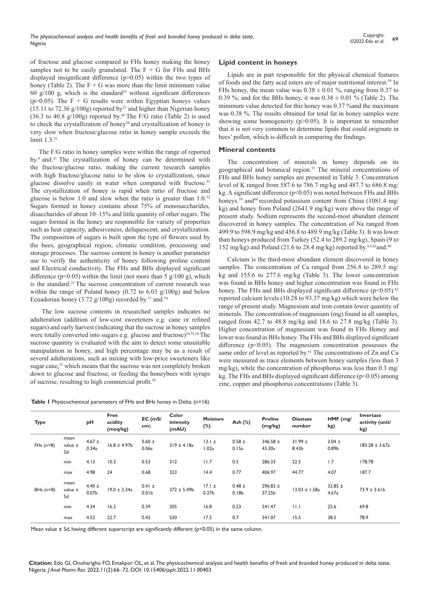of fructose and glucose compared to FHs honey making the honey samples not to be easily granulated. The  $F + G$  for FHs and BHs displayed insignificant difference (p>0.05) within the two types of honey (Table 2). The  $F + G$  was more than the limit minimum value 60 g/100 g, which is the standard<sup>25</sup> without significant differences ( $p>0.05$ ). The F + G results were within Egyptian honeys values  $(15.11 \text{ to } 72.36 \text{ g}/100 \text{g})$  reported by<sup>23</sup> and higher than Nigerian honey  $(36.3 \text{ to } 40.8 \text{ g}/100 \text{g})$  reported by.<sup>49</sup> The F/G ratio (Table 2) is used to check the crystallization of honey<sup>50</sup> and crystallization of honey is very slow when fructose/glucose ratio in honey sample exceeds the limit 1.3.<sup>51</sup>

The F/G ratio in honey samples were within the range of reported by.<sup>8</sup> and.<sup>51</sup> The crystallization of honey can be determined with the fructose/glucose ratio, making the current research samples with high fructose/glucose ratio to be slow to crystallization, since glucose dissolve easily in water when compared with fructose.<sup>52</sup> The crystallization of honey is rapid when ratio of fructose and glucose is below 1.0 and slow when the ratio is greater than 1.0.52 Sugars formed in honey contains about 75% of monosaccharides, disaccharides of about 10–15% and little quantity of other sugars. The sugars formed in the honey are responsible for variety of properties such as heat capacity, adhesiveness, deliquescent, and crystallization. The composition of sugars is built upon the type of flowers used by the bees, geographical region, climatic condition, processing and storage processes. The sucrose content in honey is another parameter use to verify the authenticity of honey following proline content and Electrical conductivity. The FHs and BHs displayed significant difference ( $p$ <0.05) within the limit (not more than 5 g/100 g), which is the standard.<sup>25</sup> The sucrose concentration of current research was within the range of Poland honey (0.72 to 6.03 g/100g) and below Ecuadorian honey (3.72 g/100g) recorded by.<sup>53</sup> and.<sup>54</sup>

 The low sucrose contents in researched samples indicates no adulteration (addition of low-cost sweeteners e.g. cane or refined sugars) and early harvest (indicating that the sucrose in honey samples were totally converted into sugars e.g. glucose and fructose)<sup>29,55,56</sup> The sucrose quantity is evaluated with the aim to detect some unsuitable manipulation in honey, and high percentage may be as a result of several adulterations, such as mixing with low-price sweeteners like sugar cane,<sup>57</sup> which means that the sucrose was not completely broken down to glucose and fructose, or feeding the honeybees with syrups of sucrose, resulting to high commercial profit.<sup>58</sup>

|  | Table I Physicochemical parameters of FHs and BHs honey in Delta. (n=16) |
|--|--------------------------------------------------------------------------|
|--|--------------------------------------------------------------------------|

## **Lipid content in honeys**

Lipids are in part responsible for the physical chemical features of foods and the fatty acid esters are of major nutritional interest.<sup>59</sup> In FHs honey, the mean value was  $0.38 \pm 0.01$  %, ranging from 0.37 to 0.39 %; and for the BHs honey, it was  $0.38 \pm 0.01$  % (Table 2). The minimum value detected for this honey was 0.37 %and the maximum was 0.38 %. The results obtained for total fat in honey samples were showing some homogeneity  $(p>0.05)$ . It is important to remember that it is not very common to determine lipids that could originate in bees' pollen, which is difficult in comparing the findings.

## **Mineral contents**

The concentration of minerals in honey depends on its geographical and botanical region.<sup>31</sup> The mineral concentrations of FHs and BHs honey samples are presented in Table 3. Concentration level of K ranged from 587.6 to 786.7 mg/kg and 487.7 to 686.8 mg/ kg. A significant difference (p<0.05) was noted between FHs and BHs honeys.<sup>39</sup> and<sup>60</sup> recorded potassium content from China (1081.4 mg/ kg) and honey from Poland (2641.9 mg/kg) were above the range of present study. Sodium represents the second-most abundant element discovered in honey samples. The concentration of Na ranged from 499.9 to 598.9 mg/kg and 456.8 to 489.9 mg/kg (Table 3). It was lower than honeys produced from Turkey (52.4 to 289.2 mg/kg), Spain (9 to 152 mg/kg) and Poland (21.6 to 28.4 mg/kg) reported by.4,5,62and.<sup>60</sup>

Calcium is the third-most abundant element discovered in honey samples. The concentration of Ca ranged from 256.8 to 289.5 mg/ kg and 155.6 to 277.6 mg/kg (Table 3). The lower concentration was found in BHs honey and higher concentration was found in FHs honey. The FHs and BHs displayed significant difference  $(p<0.05)$ .<sup>62</sup> reported calcium levels (10.28 to 93.37 mg/kg) which were below the range of present study. Magnesium and iron contain lower quantity of minerals. The concentration of magnesium (mg) found in all samples, ranged from 42.7 to 48.8 mg/kg and 18.6 to 27.8 mg/kg (Table 3). Higher concentration of magnesium was found in FHs Honey and lower was found in BHs honey. The FHs and BHs displayed significant difference ( $p<0.05$ ). The magnesium concentration possesses the same order of level as reported by.<sup>61</sup> The concentrations of Zn and Cu were measured as trace elements between honey samples (less than 3 mg/kg), while the concentration of phosphorus was less than 0.3 mg/ kg. The FHs and BHs displayed significant difference  $(p<0.05)$  among zinc, copper and phosphorus concentrations (Table 3).

| <b>Type</b> |                       | рH                              | Free<br>acidity<br>(meq/kg) | $EC$ (mS/<br>cm)                | Color<br>intensity<br>(mAU) | <b>Moisture</b><br>$(\%)$       | Ash (%)                         | <b>Proline</b><br>(mg/kg) | <b>Diastase</b><br>number | HMF (mg/<br>kg)                 | Invertase<br>activity (unit/<br>kg) |
|-------------|-----------------------|---------------------------------|-----------------------------|---------------------------------|-----------------------------|---------------------------------|---------------------------------|---------------------------|---------------------------|---------------------------------|-------------------------------------|
| $FHs(n=8)$  | mean<br>value ±<br>Sd | $4.67 \pm$<br>0.34a             | $16.8 \pm 4.97b$            | $0.60 \pm$<br>0.06a             | $319 \pm 4.18a$             | $13.1 \pm$<br>1.02a             | $0.58 \pm$<br>0.15a             | 346.58 $\pm$<br>43.30a    | $31.99 \pm$<br>8.43b      | $3.04 \pm$<br>0.89 <sub>b</sub> | $183.28 \pm 3.67a$                  |
|             | min                   | 4.13                            | 10.3                        | 0.53                            | 312                         | 11.7                            | 0.5                             | 286.33                    | 22.5                      | 1.7                             | 178.78                              |
|             | max                   | 4.98                            | 24                          | 0.68                            | 323                         | 14.4                            | 0.77                            | 406.97                    | 44.77                     | 4.07                            | 187.7                               |
| BHs $(n=8)$ | mean<br>value ±<br>Sd | $4.40 \pm$<br>0.07 <sub>b</sub> | $19.0 \pm 2.34a$            | $0.41 \pm$<br>0.01 <sub>b</sub> | $372 \pm 5.49$ b            | $17.1 \pm$<br>0.27 <sub>b</sub> | $0.48 \pm$<br>0.18 <sub>b</sub> | 296.83 $\pm$<br>37.25b    | $13.03 \pm 1.58a$         | 32.85 $\pm$<br>4.67a            | $73.9 \pm 3.61b$                    |
|             | min                   | 4.34                            | 16.3                        | 0.39                            | 205                         | 16.8                            | 0.23                            | 241.47                    | 11.1                      | 25.6                            | 69.8                                |
|             | max                   | 4.52                            | 22.7                        | 0.42                            | 530                         | 17.5                            | 0.7                             | 341.07                    | 15.5                      | 38.5                            | 78.9                                |

Mean value ± Sd, having different superscript are significantly different (p<0.05) in the same column.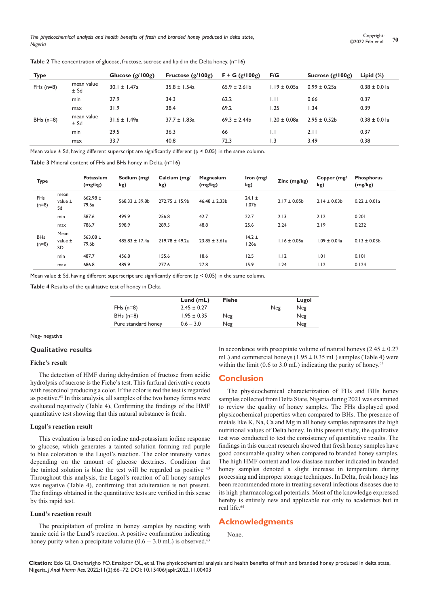| <b>Type</b> |                    | Glucose $(g/100g)$ | Fructose $(g/100g)$ | $F + G(g/100g)$   | F/G               | Sucrose $(g/100g)$       | Lipid $(\%)$     |
|-------------|--------------------|--------------------|---------------------|-------------------|-------------------|--------------------------|------------------|
| $FHs(n=8)$  | mean value<br>± Sd | $30.1 \pm 1.47a$   | $35.8 \pm 1.54a$    | $65.9 \pm 2.6$ lb | $1.19 \pm 0.05a$  | $0.99 \pm 0.25a$         | $0.38 \pm 0.01a$ |
|             | min                | 27.9               | 34.3                | 62.2              | 1.11              | 0.66                     | 0.37             |
|             | max                | 31.9               | 38.4                | 69.2              | 1.25              | $\mathsf{L}.\mathsf{34}$ | 0.39             |
| BHs $(n=8)$ | mean value<br>± Sd | $31.6 \pm 1.49a$   | $37.7 \pm 1.83a$    | $69.3 \pm 2.44$ b | $1.20 \pm 0.08$ a | $2.95 \pm 0.52$ b        | $0.38 \pm 0.01a$ |
|             | min                | 29.5               | 36.3                | 66                | IJ                | 2.11                     | 0.37             |
|             | max                | 33.7               | 40.8                | 72.3              | 1.3               | 3.49                     | 0.38             |

Table 2 The concentration of glucose, fructose, sucrose and lipid in the Delta honey. (n=16)

Mean value  $\pm$  Sd, having different superscript are significantly different ( $p < 0.05$ ) in the same column.

**Table 3** Mineral content of FHs and BHs honey in Delta. (n=16)

| <b>Type</b>                      |                           | Potassium<br>(mg/kg)  | Sodium (mg/<br>kg) | Calcium (mg/<br>kg) | Magnesium<br>(mg/kg) | Iron (mg/<br>kg)                | Zinc (mg/kg)     | Copper (mg/<br>kg) | Phosphorus<br>(mg/kg) |
|----------------------------------|---------------------------|-----------------------|--------------------|---------------------|----------------------|---------------------------------|------------------|--------------------|-----------------------|
| <b>FH<sub>s</sub></b><br>$(n=8)$ | mean<br>value $\pm$<br>Sd | 662.98 $\pm$<br>79.6a | $568.33 \pm 39.8b$ | $272.75 \pm 15.9b$  | $46.48 \pm 2.33b$    | $24.1 \pm$<br>1.07 <sub>b</sub> | $2.17 \pm 0.05$  | $2.14 \pm 0.03b$   | $0.22 \pm 0.01a$      |
|                                  | min                       | 587.6                 | 499.9              | 256.8               | 42.7                 | 22.7                            | 2.13             | 2.12               | 0.201                 |
|                                  | max                       | 786.7                 | 598.9              | 289.5               | 48.8                 | 25.6                            | 2.24             | 2.19               | 0.232                 |
| <b>BHs</b><br>$(n=8)$            | Mean<br>value $\pm$<br>SD | 563.08 $\pm$<br>79.6b | $485.83 \pm 17.4a$ | $219.78 \pm 49.2a$  | $23.85 \pm 3.61a$    | $14.2 \pm$<br>1.26a             | $1.16 \pm 0.05a$ | $1.09 \pm 0.04a$   | $0.13 \pm 0.03b$      |
|                                  | min                       | 487.7                 | 456.8              | 155.6               | 18.6                 | 12.5                            | 1.12             | 1.01               | 0.101                 |
|                                  | max                       | 686.8                 | 489.9              | 277.6               | 27.8                 | 15.9                            | 1.24             | 1.12               | 0.124                 |

Mean value  $\pm$  Sd, having different superscript are significantly different ( $p < 0.05$ ) in the same column.

**Table 4** Results of the qualitative test of honey in Delta

|                     | Lund $(mL)$     | Fiehe |     | Lugol |
|---------------------|-----------------|-------|-----|-------|
| $FHs(n=8)$          | $2.45 \pm 0.27$ |       | Neg | Neg   |
| BHs $(n=8)$         | $1.95 \pm 0.35$ | Neg   |     | Neg   |
| Pure standard honey | $0.6 - 3.0$     | Neg   |     | Neg   |

Neg- negative

## **Qualitative results**

#### **Fiehe's result**

The detection of HMF during dehydration of fructose from acidic hydrolysis of sucrose is the Fiehe's test. This furfural derivative reacts with resorcinol producing a color. If the color is red the test is regarded as positive.63 In this analysis, all samples of the two honey forms were evaluated negatively (Table 4), Confirming the findings of the HMF quantitative test showing that this natural substance is fresh.

#### **Lugol's reaction result**

This evaluation is based on iodine and-potassium iodine response to glucose, which generates a tainted solution forming red purple to blue coloration is the Lugol's reaction. The color intensity varies depending on the amount of glucose dextrines. Condition that the tainted solution is blue the test will be regarded as positive <sup>63</sup> Throughout this analysis, the Lugol's reaction of all honey samples was negative (Table 4), confirming that adulteration is not present. The findings obtained in the quantitative tests are verified in this sense by this rapid test.

#### **Lund's reaction result**

The precipitation of proline in honey samples by reacting with tannic acid is the Lund's reaction. A positive confirmation indicating honey purity when a precipitate volume  $(0.6 - 3.0 \text{ mL})$  is observed.<sup>63</sup>

In accordance with precipitate volume of natural honeys  $(2.45 \pm 0.27)$ mL) and commercial honeys  $(1.95 \pm 0.35 \text{ mL})$  samples (Table 4) were within the limit (0.6 to 3.0 mL) indicating the purity of honey.<sup>63</sup>

## **Conclusion**

The physicochemical characterization of FHs and BHs honey samples collected from Delta State, Nigeria during 2021 was examined to review the quality of honey samples. The FHs displayed good physicochemical properties when compared to BHs. The presence of metals like K, Na, Ca and Mg in all honey samples represents the high nutritional values of Delta honey. In this present study, the qualitative test was conducted to test the consistency of quantitative results. The findings in this current research showed that fresh honey samples have good consumable quality when compared to branded honey samples. The high HMF content and low diastase number indicated in branded honey samples denoted a slight increase in temperature during processing and improper storage techniques. In Delta, fresh honey has been recommended more in treating several infectious diseases due to its high pharmacological potentials. Most of the knowledge expressed hereby is entirely new and applicable not only to academics but in real life.<sup>64</sup>

## **Acknowledgments**

None.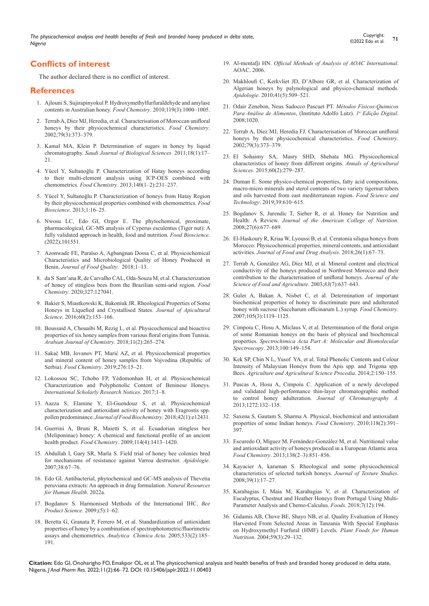## **Conflicts of interest**

The author declared there is no conflict of interest.

#### **References**

- 1. [Ajlouni S, Sujirapinyokul P. Hydroxymethylfurfuraldehyde and amylase](https://www.sciencedirect.com/science/article/abs/pii/S0308814609009716)  [contents in Australian honey.](https://www.sciencedirect.com/science/article/abs/pii/S0308814609009716) *Food Chemistry*. 2010;119(3):1000–1005.
- 2. Terrab A, Dı́ [ez MJ, Heredia, et al. Characterisation of Moroccan unifloral](https://www.sciencedirect.com/science/article/abs/pii/S0308814602001899)  [honeys by their physicochemical characteristics.](https://www.sciencedirect.com/science/article/abs/pii/S0308814602001899) *Food Chemistry*. [2002;79\(3\):373–379.](https://www.sciencedirect.com/science/article/abs/pii/S0308814602001899)
- 3. [Kamal MA, Klein P. Determination of sugars in honey by liquid](https://www.sciencedirect.com/science/article/pii/S1319562X10001038)  chromatography. *[Saudi Journal of Biological Sciences.](https://www.sciencedirect.com/science/article/pii/S1319562X10001038)* 2011;18(1):17– [21.](https://www.sciencedirect.com/science/article/pii/S1319562X10001038)
- 4. [Yücel Y, Sultanoğlu P. Characterization of Hatay honeys according](https://pubmed.ncbi.nlm.nih.gov/23578638/)  [to their multi-element analysis using ICP-OES combined with](https://pubmed.ncbi.nlm.nih.gov/23578638/)  chemometrics. *Food Chemistry*[. 2013;140\(1–2\):231–237.](https://pubmed.ncbi.nlm.nih.gov/23578638/)
- 5. [Yücel Y, Sultanoǧlu P. Characterization of honeys from Hatay Region](https://www.sciencedirect.com/science/article/abs/pii/S2212429213000047?via%3Dihub)  [by their physicochemical properties combined with chemometrics.](https://www.sciencedirect.com/science/article/abs/pii/S2212429213000047?via%3Dihub) *Food Bioscience*[. 2013;1:16–25.](https://www.sciencedirect.com/science/article/abs/pii/S2212429213000047?via%3Dihub)
- 6. [Nwosu LC, Edo GI, Ozgor E. The phytochemical, proximate,](https://www.sciencedirect.com/science/article/abs/pii/S2212429222000098?via%3Dihub)  [pharmacological, GC-MS analysis of Cyperus esculentus \(Tiger nut\): A](https://www.sciencedirect.com/science/article/abs/pii/S2212429222000098?via%3Dihub)  [fully validated approach in health, food and nutrition.](https://www.sciencedirect.com/science/article/abs/pii/S2212429222000098?via%3Dihub) *Food Bioscience*. [\(2022\);101551.](https://www.sciencedirect.com/science/article/abs/pii/S2212429222000098?via%3Dihub)
- 7. [Azonwade FE, Paraïso A, Agbangnan Dossa C, et al. Physicochemical](https://www.hindawi.com/journals/jfq/2018/1896057/)  [Characteristics and Microbiological Quality of Honey Produced in](https://www.hindawi.com/journals/jfq/2018/1896057/)  Benin. *[Journal of Food Quality](https://www.hindawi.com/journals/jfq/2018/1896057/)*. 2018;1–13.
- 8. [da S Sant'ana R, de Carvalho CAL, Oda-Souza M, et al. Characterization](https://www.sciencedirect.com/science/article/abs/pii/S0308814620309031?via%3Dihub)  [of honey of stingless bees from the Brazilian semi-arid region.](https://www.sciencedirect.com/science/article/abs/pii/S0308814620309031?via%3Dihub) *Food Chemistry*[. 2020;327:127041.](https://www.sciencedirect.com/science/article/abs/pii/S0308814620309031?via%3Dihub)
- 9. [Bakier S, Miastkowski K, Bakoniuk JR. Rheological Properties of Some](https://www.sciendo.com/article/10.1515/jas-2016-0026)  [Honeys in Liquefied and Crystallised States.](https://www.sciendo.com/article/10.1515/jas-2016-0026) *Journal of Apicultural Science*[. 2016;60\(2\):153–166.](https://www.sciendo.com/article/10.1515/jas-2016-0026)
- 10. [Boussaid A, Chouaibi M, Rezig L, et al. Physicochemical and bioactive](https://www.sciencedirect.com/science/article/pii/S1878535214001737?via%3Dihub)  [properties of six honey samples from various floral origins from Tunisia.](https://www.sciencedirect.com/science/article/pii/S1878535214001737?via%3Dihub)  *[Arabian Journal of Chemistry](https://www.sciencedirect.com/science/article/pii/S1878535214001737?via%3Dihub)*. 2018;11(2):265–274.
- 11. [Sakač MB, Jovanov PT, Marić AZ, et al. Physicochemical properties](https://www.sciencedirect.com/science/article/abs/pii/S0308814618317278)  [and mineral content of honey samples from Vojvodina \(Republic of](https://www.sciencedirect.com/science/article/abs/pii/S0308814618317278)  Serbia). *Food Chemistry*[. 2019;276:15–21.](https://www.sciencedirect.com/science/article/abs/pii/S0308814618317278)
- 12. [Lokossou SC, Tchobo FP, Yédomonhan H, et al. Physicochemical](https://www.hindawi.com/journals/isrn/2017/6571089/)  [Characterization and Polyphenolic Content of Beninese Honeys.](https://www.hindawi.com/journals/isrn/2017/6571089/)  *[International Scholarly Research Notices](https://www.hindawi.com/journals/isrn/2017/6571089/)*. 2017;1–8.
- 13. [Aazza S, Elamine Y, El-Guendouz S, et al. Physicochemical](https://onlinelibrary.wiley.com/doi/10.1111/jfbc.12431)  [characterization and antioxidant activity of honey with Eragrostis spp.](https://onlinelibrary.wiley.com/doi/10.1111/jfbc.12431)  pollen predominance. *[Journal of Food Biochemistry](https://onlinelibrary.wiley.com/doi/10.1111/jfbc.12431)*. 2018;42(1):e12431.
- 14. [Guerrini A, Bruni R, Maietti S, et al. Ecuadorian stingless bee](https://www.sciencedirect.com/science/article/abs/pii/S0308814608013678?via%3Dihub)  [\(Meliponinae\) honey: A chemical and functional profile of an ancient](https://www.sciencedirect.com/science/article/abs/pii/S0308814608013678?via%3Dihub)  health product. *Food Chemistry*[. 2009;114\(4\):1413–1420.](https://www.sciencedirect.com/science/article/abs/pii/S0308814608013678?via%3Dihub)
- 15. [Abdullah I, Gary SR, Marla S. Field trial of honey bee colonies bred](https://link.springer.com/article/10.1051/apido:2006065)  [for mechanisms of resistance against Varroa destructor.](https://link.springer.com/article/10.1051/apido:2006065) *Apidologie*. [2007;38:67–76.](https://link.springer.com/article/10.1051/apido:2006065)
- 16. [Edo GI. Antibacterial, phytochemical and GC-MS analysis of Thevetia](https://www.nrfhh.com/Antibacterial-phytochemical-and-GC-MS-analysis-of-Thevetia-peruviana-extracts-An,146543,0,2.html)  [peruviana extracts: An approach in drug formulation.](https://www.nrfhh.com/Antibacterial-phytochemical-and-GC-MS-analysis-of-Thevetia-peruviana-extracts-An,146543,0,2.html) *Natural Resources [for Human Health](https://www.nrfhh.com/Antibacterial-phytochemical-and-GC-MS-analysis-of-Thevetia-peruviana-extracts-An,146543,0,2.html)*. 2022a.
- 17. [Bogdanov S. Harmonised Methods of the International IHC.](https://www.ihc-platform.net/ihcmethods2009.pdf) *Bee [Product Science.](https://www.ihc-platform.net/ihcmethods2009.pdf)* 2009;(5):1–62.
- 18. [Beretta G, Granata P, Ferrero M, et al. Standardization of antioxidant](https://www.infona.pl/resource/bwmeta1.element.elsevier-8ff32f1f-25d5-369e-b6f7-62a711465a36)  [properties of honey by a combination of spectrophotometric/fluorimetric](https://www.infona.pl/resource/bwmeta1.element.elsevier-8ff32f1f-25d5-369e-b6f7-62a711465a36)  [assays and chemometrics.](https://www.infona.pl/resource/bwmeta1.element.elsevier-8ff32f1f-25d5-369e-b6f7-62a711465a36) *Analytica Chimica Acta*. 2005;533(2):185– [191.](https://www.infona.pl/resource/bwmeta1.element.elsevier-8ff32f1f-25d5-369e-b6f7-62a711465a36)
- 19. Al-mentafji HN. *[Official Methods of Analysis of AOAC International](https://www.scirp.org/(S(i43dyn45teexjx455qlt3d2q))/reference/ReferencesPapers.aspx?ReferenceID=1387682)*. [AOAC. 2006](https://www.scirp.org/(S(i43dyn45teexjx455qlt3d2q))/reference/ReferencesPapers.aspx?ReferenceID=1387682).
- 20. [Makhloufi C, Kerkvliet JD, D'Albore GR, et al. Characterization of](https://link.springer.com/article/10.1051/apido/2010002)  [Algerian honeys by palynological and physico-chemical methods.](https://link.springer.com/article/10.1051/apido/2010002)  *Apidologie*[. 2010;41\(5\):509–521.](https://link.springer.com/article/10.1051/apido/2010002)
- 21. [Odair Zenebon, Neus Sadocco Pascuet PT.](http://www.ial.sp.gov.br/resources/editorinplace/ial/2016_3_19/analisedealimentosial_2008.pdf) *Métodos Físicos-Quimicos [Para Análise de Alimentos](http://www.ial.sp.gov.br/resources/editorinplace/ial/2016_3_19/analisedealimentosial_2008.pdf)*, (Instituto Adolfo Lutz). *1a Edição Digital*. [2008;1020.](http://www.ial.sp.gov.br/resources/editorinplace/ial/2016_3_19/analisedealimentosial_2008.pdf)
- 22. Terrab A, Díez MJ, Heredia FJ. Characterisation of Moroccan unifloral [honeys by their physicochemical characteristics.](https://www.sciencedirect.com/science/article/abs/pii/S0308814602001899?via%3Dihub) *Food Chemistry*. [2002;79\(3\):373–379.](https://www.sciencedirect.com/science/article/abs/pii/S0308814602001899?via%3Dihub)
- 23. [El Sohaimy SA, Masry SHD, Shehata MG. Physicochemical](https://www.sciencedirect.com/science/article/pii/S0570178315000536?via%3Dihub)  [characteristics of honey from different origins.](https://www.sciencedirect.com/science/article/pii/S0570178315000536?via%3Dihub) *Annals of Agricultural Sciences*[. 2015;60\(2\):279–287.](https://www.sciencedirect.com/science/article/pii/S0570178315000536?via%3Dihub)
- 24. [Duman E. Some physico-chemical properties, fatty acid compositions,](https://www.scielo.br/j/cta/a/KbSBjMH7ZysRzBZP6VtND8k/?lang=en)  [macro-micro minerals and sterol contents of two variety tigernut tubers](https://www.scielo.br/j/cta/a/KbSBjMH7ZysRzBZP6VtND8k/?lang=en)  [and oils harvested from east mediterranean region.](https://www.scielo.br/j/cta/a/KbSBjMH7ZysRzBZP6VtND8k/?lang=en) *Food Science and Technology*[. 2019;39:610–615.](https://www.scielo.br/j/cta/a/KbSBjMH7ZysRzBZP6VtND8k/?lang=en)
- 25. [Bogdanov S, Jurendic T, Sieber R, et al. Honey for Nutrition and](https://www.tandfonline.com/doi/abs/10.1080/07315724.2008.10719745)  Health: A Review. *[Journal of the American College of Nutrition](https://www.tandfonline.com/doi/abs/10.1080/07315724.2008.10719745)*. [2008;27\(6\):677–689.](https://www.tandfonline.com/doi/abs/10.1080/07315724.2008.10719745)
- 26. [El-Haskoury R, Kriaa W, Lyoussi B, et al. Ceratonia siliqua honeys from](https://www.sciencedirect.com/science/article/pii/S1021949817300285?via%3Dihub)  [Morocco: Physicochemical properties, mineral contents, and antioxidant](https://www.sciencedirect.com/science/article/pii/S1021949817300285?via%3Dihub)  activities. *[Journal of Food and Drug Analysis](https://www.sciencedirect.com/science/article/pii/S1021949817300285?via%3Dihub)*. 2018;26(1):67–73.
- 27. [Terrab A, González AG, Díez MJ, et al. Mineral content and electrical](https://onlinelibrary.wiley.com/doi/10.1002/jsfa.1341)  [conductivity of the honeys produced in Northwest Morocco and their](https://onlinelibrary.wiley.com/doi/10.1002/jsfa.1341)  [contribution to the characterisation of unifloral honeys.](https://onlinelibrary.wiley.com/doi/10.1002/jsfa.1341) *Journal of the [Science of Food and Agriculture](https://onlinelibrary.wiley.com/doi/10.1002/jsfa.1341)*. 2003;*83*(7):637–643.
- 28. [Guler A, Bakan A, Nisbet C, et al. Determination of important](https://www.infona.pl/resource/bwmeta1.element.elsevier-200142cb-c5b3-38f2-8945-26b4b4f8423c)  [biochemical properties of honey to discriminate pure and adulterated](https://www.infona.pl/resource/bwmeta1.element.elsevier-200142cb-c5b3-38f2-8945-26b4b4f8423c)  [honey with sucrose \(Saccharum officinarum L.\) syrup.](https://www.infona.pl/resource/bwmeta1.element.elsevier-200142cb-c5b3-38f2-8945-26b4b4f8423c) *Food Chemistry*. [2007;105\(3\):1119–1125.](https://www.infona.pl/resource/bwmeta1.element.elsevier-200142cb-c5b3-38f2-8945-26b4b4f8423c)
- 29. [Cimpoiu C, Hosu A, Miclaus V, et al. Determination of the floral origin](https://www.sciencedirect.com/science/article/abs/pii/S1386142512003605?via%3Dihub)  [of some Romanian honeys on the basis of physical and biochemical](https://www.sciencedirect.com/science/article/abs/pii/S1386142512003605?via%3Dihub)  properties. *[Spectrochimica Acta Part A: Molecular and Biomolecular](https://www.sciencedirect.com/science/article/abs/pii/S1386142512003605?via%3Dihub)  Spectroscopy*[. 2013;100:149–154.](https://www.sciencedirect.com/science/article/abs/pii/S1386142512003605?via%3Dihub)
- 30. [Kek SP, Chin N L, Yusof YA, et al. Total Phenolic Contents and Colour](https://www.sciencedirect.com/science/article/pii/S2210784314000230)  [Intensity of Malaysian Honeys from the Apis spp. and Trigona spp.](https://www.sciencedirect.com/science/article/pii/S2210784314000230)  Bees. *[Agriculture and Agricultural Science Procedia](https://www.sciencedirect.com/science/article/pii/S2210784314000230)*. 2014;2:150–155.
- 31. [Puscas A, Hosu A, Cimpoiu C. Application of a newly developed](https://www.sciencedirect.com/science/article/abs/pii/S0021967312017979?via%3Dihub)  [and validated high-performance thin-layer chromatographic method](https://www.sciencedirect.com/science/article/abs/pii/S0021967312017979?via%3Dihub)  to control honey adulteration. *[Journal of Chromatography A](https://www.sciencedirect.com/science/article/abs/pii/S0021967312017979?via%3Dihub)*. [2013;1272:132–135.](https://www.sciencedirect.com/science/article/abs/pii/S0021967312017979?via%3Dihub)
- 32. [Saxena S, Gautam S, Sharma A. Physical, biochemical and antioxidant](https://www.sciencedirect.com/science/article/abs/pii/S0308814609006207)  [properties of some Indian honeys.](https://www.sciencedirect.com/science/article/abs/pii/S0308814609006207) *Food Chemistry*. 2010;118(2):391– [397.](https://www.sciencedirect.com/science/article/abs/pii/S0308814609006207)
- 33. [Escuredo O, Míguez M, Fernández-González M, et al. Nutritional value](https://www.sciencedirect.com/science/article/abs/pii/S0308814612017426?via%3Dihub)  [and antioxidant activity of honeys produced in a European Atlantic area.](https://www.sciencedirect.com/science/article/abs/pii/S0308814612017426?via%3Dihub)  *Food Chemistry*[. 2013;138\(2–3\):851–856.](https://www.sciencedirect.com/science/article/abs/pii/S0308814612017426?via%3Dihub)
- 34. [Kayacier A, karaman S. Rheological and some physicochemical](https://onlinelibrary.wiley.com/doi/10.1111/j.1745-4603.2007.00127.x)  [characteristics of selected turkish honeys.](https://onlinelibrary.wiley.com/doi/10.1111/j.1745-4603.2007.00127.x) *Journal of Texture Studies*. [2008;39\(1\):17–27.](https://onlinelibrary.wiley.com/doi/10.1111/j.1745-4603.2007.00127.x)
- 35. [Karabagias I, Maia M, Karabagias V, et al. Characterization of](https://www.mdpi.com/2304-8158/7/12/194)  [Eucalyptus, Chestnut and Heather Honeys from Portugal Using Multi-](https://www.mdpi.com/2304-8158/7/12/194)[Parameter Analysis and Chemo-Calculus.](https://www.mdpi.com/2304-8158/7/12/194) *Foods*. 2018;7(12):194.
- 36. [Gidamis AB, Chove BE, Shayo NB, et al. Quality Evaluation of Honey](https://link.springer.com/article/10.1007/s11130-004-0020-7)  [Harvested From Selected Areas in Tanzania With Special Emphasis](https://link.springer.com/article/10.1007/s11130-004-0020-7)  [on Hydroxymethyl Furfural \(HMF\) Levels.](https://link.springer.com/article/10.1007/s11130-004-0020-7) *Plant Foods for Human Nutrition*[. 2004;59\(3\):29–132.](https://link.springer.com/article/10.1007/s11130-004-0020-7)